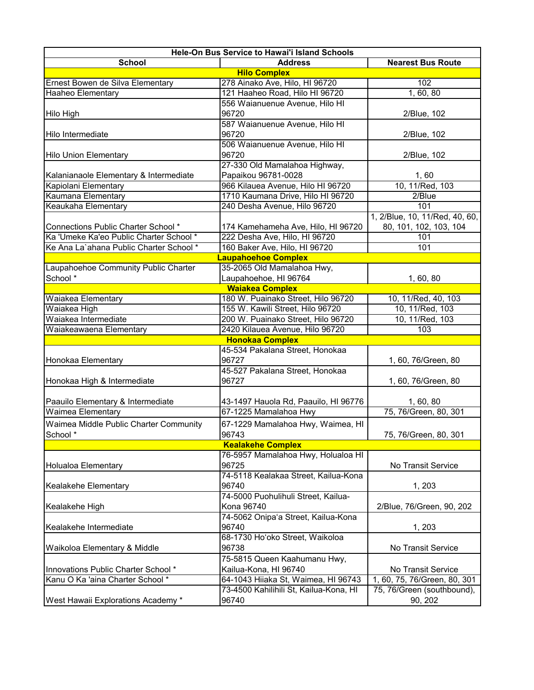| Hele-On Bus Service to Hawai'i Island Schools |                                        |                                |  |  |
|-----------------------------------------------|----------------------------------------|--------------------------------|--|--|
| <b>School</b>                                 | <b>Address</b>                         | <b>Nearest Bus Route</b>       |  |  |
|                                               | <b>Hilo Complex</b>                    |                                |  |  |
| Ernest Bowen de Silva Elementary              | 278 Ainako Ave, Hilo, HI 96720         | 102                            |  |  |
| <b>Haaheo Elementary</b>                      | 121 Haaheo Road, Hilo HI 96720         | 1,60,80                        |  |  |
|                                               | 556 Waianuenue Avenue, Hilo HI         |                                |  |  |
| Hilo High                                     | 96720                                  | 2/Blue, 102                    |  |  |
|                                               | 587 Waianuenue Avenue, Hilo HI         |                                |  |  |
| Hilo Intermediate                             | 96720                                  | 2/Blue, 102                    |  |  |
|                                               | 506 Waianuenue Avenue, Hilo HI         |                                |  |  |
| <b>Hilo Union Elementary</b>                  | 96720                                  | 2/Blue, 102                    |  |  |
|                                               | 27-330 Old Mamalahoa Highway,          |                                |  |  |
| Kalanianaole Elementary & Intermediate        | Papaikou 96781-0028                    | 1,60                           |  |  |
| Kapiolani Elementary                          | 966 Kilauea Avenue, Hilo HI 96720      | 10, 11/Red, 103                |  |  |
| Kaumana Elementary                            | 1710 Kaumana Drive, Hilo HI 96720      | 2/Blue                         |  |  |
| Keaukaha Elementary                           | 240 Desha Avenue, Hilo 96720           | 101                            |  |  |
|                                               |                                        | 1, 2/Blue, 10, 11/Red, 40, 60, |  |  |
| <b>Connections Public Charter School *</b>    | 174 Kamehameha Ave, Hilo, HI 96720     | 80, 101, 102, 103, 104         |  |  |
| Ka 'Umeke Ka'eo Public Charter School *       | 222 Desha Ave, Hilo, HI 96720          | 101                            |  |  |
| Ke Ana La'ahana Public Charter School *       | 160 Baker Ave, Hilo, HI 96720          | 101                            |  |  |
|                                               | <b>Laupahoehoe Complex</b>             |                                |  |  |
| Laupahoehoe Community Public Charter          | 35-2065 Old Mamalahoa Hwy,             |                                |  |  |
| School *                                      | Laupahoehoe, HI 96764                  | 1, 60, 80                      |  |  |
|                                               | <b>Waiakea Complex</b>                 |                                |  |  |
| Waiakea Elementary                            | 180 W. Puainako Street, Hilo 96720     | 10, 11/Red, 40, 103            |  |  |
| Waiakea High                                  | 155 W. Kawili Street, Hilo 96720       | 10, 11/Red, 103                |  |  |
| Waiakea Intermediate                          | 200 W. Puainako Street, Hilo 96720     | 10, 11/Red, 103                |  |  |
| Waiakeawaena Elementary                       | 2420 Kilauea Avenue, Hilo 96720        | 103                            |  |  |
|                                               | <b>Honokaa Complex</b>                 |                                |  |  |
|                                               | 45-534 Pakalana Street, Honokaa        |                                |  |  |
| Honokaa Elementary                            | 96727                                  | 1, 60, 76/Green, 80            |  |  |
|                                               | 45-527 Pakalana Street, Honokaa        |                                |  |  |
| Honokaa High & Intermediate                   | 96727                                  | 1, 60, 76/Green, 80            |  |  |
|                                               |                                        |                                |  |  |
| Paauilo Elementary & Intermediate             | 43-1497 Hauola Rd, Paauilo, HI 96776   | 1, 60, 80                      |  |  |
| <b>Waimea Elementary</b>                      | 67-1225 Mamalahoa Hwy                  | 75, 76/Green, 80, 301          |  |  |
| Waimea Middle Public Charter Community        | 67-1229 Mamalahoa Hwy, Waimea, HI      |                                |  |  |
| School *                                      | 96743                                  | 75, 76/Green, 80, 301          |  |  |
| <b>Kealakehe Complex</b>                      |                                        |                                |  |  |
|                                               | 76-5957 Mamalahoa Hwy, Holualoa HI     |                                |  |  |
| <b>Holualoa Elementary</b>                    | 96725                                  | <b>No Transit Service</b>      |  |  |
|                                               | 74-5118 Kealakaa Street, Kailua-Kona   |                                |  |  |
| Kealakehe Elementary                          | 96740                                  | 1, 203                         |  |  |
|                                               | 74-5000 Puohulihuli Street, Kailua-    |                                |  |  |
| Kealakehe High                                | <b>Kona 96740</b>                      | 2/Blue, 76/Green, 90, 202      |  |  |
|                                               | 74-5062 Onipa'a Street, Kailua-Kona    |                                |  |  |
| Kealakehe Intermediate                        | 96740                                  | 1, 203                         |  |  |
|                                               | 68-1730 Ho'oko Street, Waikoloa        |                                |  |  |
| Waikoloa Elementary & Middle                  | 96738                                  | No Transit Service             |  |  |
|                                               | 75-5815 Queen Kaahumanu Hwy,           |                                |  |  |
| Innovations Public Charter School *           | Kailua-Kona, HI 96740                  | No Transit Service             |  |  |
| Kanu O Ka 'aina Charter School *              | 64-1043 Hiiaka St, Waimea, HI 96743    | 1, 60, 75, 76/Green, 80, 301   |  |  |
|                                               | 73-4500 Kahilihili St, Kailua-Kona, HI | 75, 76/Green (southbound),     |  |  |
| West Hawaii Explorations Academy *            | 96740                                  | 90, 202                        |  |  |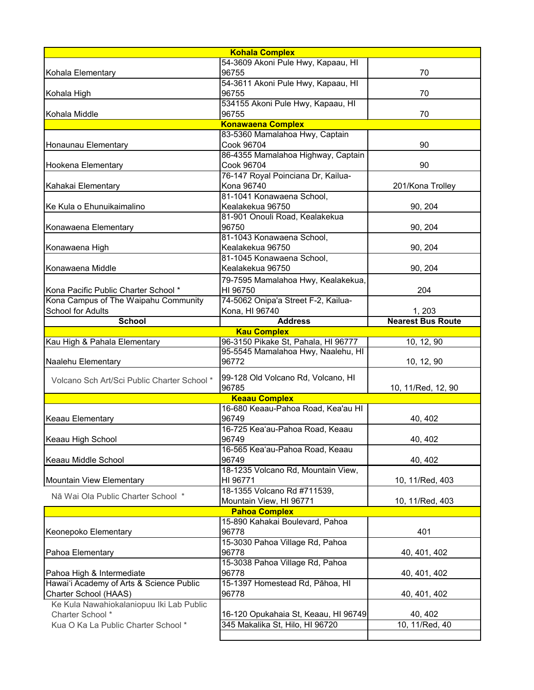| <b>Kohala Complex</b>                                                           |                                                            |                          |  |  |
|---------------------------------------------------------------------------------|------------------------------------------------------------|--------------------------|--|--|
|                                                                                 | 54-3609 Akoni Pule Hwy, Kapaau, HI                         |                          |  |  |
| Kohala Elementary                                                               | 96755                                                      | 70                       |  |  |
|                                                                                 | 54-3611 Akoni Pule Hwy, Kapaau, HI                         |                          |  |  |
| Kohala High                                                                     | 96755                                                      | 70                       |  |  |
|                                                                                 | 534155 Akoni Pule Hwy, Kapaau, HI                          |                          |  |  |
| Kohala Middle                                                                   | 96755                                                      | 70                       |  |  |
|                                                                                 | <b>Konawaena Complex</b><br>83-5360 Mamalahoa Hwy, Captain |                          |  |  |
| Honaunau Elementary                                                             | Cook 96704                                                 | 90                       |  |  |
|                                                                                 | 86-4355 Mamalahoa Highway, Captain                         |                          |  |  |
| <b>Hookena Elementary</b>                                                       | Cook 96704                                                 | 90                       |  |  |
|                                                                                 | 76-147 Royal Poinciana Dr, Kailua-                         |                          |  |  |
| Kahakai Elementary                                                              | <b>Kona 96740</b>                                          | 201/Kona Trolley         |  |  |
|                                                                                 | 81-1041 Konawaena School,                                  |                          |  |  |
| Ke Kula o Ehunuikaimalino                                                       | Kealakekua 96750                                           | 90, 204                  |  |  |
|                                                                                 | 81-901 Onouli Road, Kealakekua                             |                          |  |  |
| Konawaena Elementary                                                            | 96750                                                      | 90, 204                  |  |  |
|                                                                                 | 81-1043 Konawaena School,                                  |                          |  |  |
| Konawaena High                                                                  | Kealakekua 96750                                           | 90, 204                  |  |  |
|                                                                                 | 81-1045 Konawaena School,                                  |                          |  |  |
| Konawaena Middle                                                                | Kealakekua 96750                                           | 90, 204                  |  |  |
|                                                                                 | 79-7595 Mamalahoa Hwy, Kealakekua,                         |                          |  |  |
| Kona Pacific Public Charter School *                                            | HI 96750                                                   | 204                      |  |  |
| Kona Campus of The Waipahu Community<br><b>School for Adults</b>                | 74-5062 Onipa'a Street F-2, Kailua-                        | 1, 203                   |  |  |
| <b>School</b>                                                                   | Kona, HI 96740<br><b>Address</b>                           | <b>Nearest Bus Route</b> |  |  |
|                                                                                 | <b>Kau Complex</b>                                         |                          |  |  |
| Kau High & Pahala Elementary                                                    | 96-3150 Pikake St, Pahala, HI 96777                        | 10, 12, 90               |  |  |
|                                                                                 |                                                            |                          |  |  |
|                                                                                 | 95-5545 Mamalahoa Hwy, Naalehu, HI                         |                          |  |  |
| Naalehu Elementary                                                              | 96772                                                      | 10, 12, 90               |  |  |
|                                                                                 |                                                            |                          |  |  |
| Volcano Sch Art/Sci Public Charter School *  99-128 Old Volcano Rd, Volcano, HI |                                                            |                          |  |  |
|                                                                                 | 96785                                                      | 10, 11/Red, 12, 90       |  |  |
|                                                                                 | <b>Keaau Complex</b><br>16-680 Keaau-Pahoa Road, Kea'au HI |                          |  |  |
| <b>Keaau Elementary</b>                                                         | 96749                                                      | 40, 402                  |  |  |
|                                                                                 | 16-725 Kea'au-Pahoa Road, Keaau                            |                          |  |  |
| Keaau High School                                                               | 96749                                                      | 40, 402                  |  |  |
|                                                                                 | 16-565 Kea'au-Pahoa Road, Keaau                            |                          |  |  |
| Keaau Middle School                                                             | 96749                                                      | 40, 402                  |  |  |
|                                                                                 | 18-1235 Volcano Rd, Mountain View,                         |                          |  |  |
| Mountain View Elementary                                                        | HI 96771                                                   | 10, 11/Red, 403          |  |  |
| Nā Wai Ola Public Charter School *                                              | 18-1355 Volcano Rd #711539,                                |                          |  |  |
|                                                                                 | Mountain View, HI 96771                                    | 10, 11/Red, 403          |  |  |
|                                                                                 | <b>Pahoa Complex</b>                                       |                          |  |  |
|                                                                                 | 15-890 Kahakai Boulevard, Pahoa<br>96778                   | 401                      |  |  |
| Keonepoko Elementary                                                            |                                                            |                          |  |  |
| Pahoa Elementary                                                                | 15-3030 Pahoa Village Rd, Pahoa<br>96778                   | 40, 401, 402             |  |  |
|                                                                                 | 15-3038 Pahoa Village Rd, Pahoa                            |                          |  |  |
| Pahoa High & Intermediate                                                       | 96778                                                      | 40, 401, 402             |  |  |
| Hawai'i Academy of Arts & Science Public                                        | 15-1397 Homestead Rd, Pāhoa, HI                            |                          |  |  |
| Charter School (HAAS)                                                           | 96778                                                      | 40, 401, 402             |  |  |
| Ke Kula Nawahiokalaniopuu Iki Lab Public                                        |                                                            |                          |  |  |
| Charter School *                                                                | 16-120 Opukahaia St, Keaau, HI 96749                       | 40, 402                  |  |  |
| Kua O Ka La Public Charter School *                                             | 345 Makalika St, Hilo, HI 96720                            | 10, 11/Red, 40           |  |  |